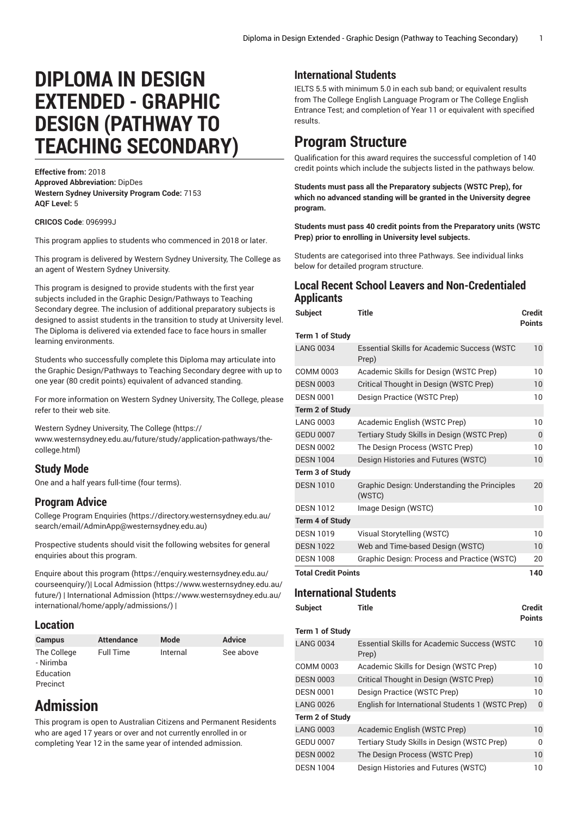# **DIPLOMA IN DESIGN EXTENDED - GRAPHIC DESIGN (PATHWAY TO TEACHING SECONDARY)**

**Effective from:** 2018 **Approved Abbreviation:** DipDes **Western Sydney University Program Code:** 7153 **AQF Level:** 5

#### **CRICOS Code**: 096999J

This program applies to students who commenced in 2018 or later.

This program is delivered by Western Sydney University, The College as an agent of Western Sydney University.

This program is designed to provide students with the first year subjects included in the Graphic Design/Pathways to Teaching Secondary degree. The inclusion of additional preparatory subjects is designed to assist students in the transition to study at University level. The Diploma is delivered via extended face to face hours in smaller learning environments.

Students who successfully complete this Diploma may articulate into the Graphic Design/Pathways to Teaching Secondary degree with up to one year (80 credit points) equivalent of advanced standing.

For more information on Western Sydney University, The College, please refer to their web site.

Western Sydney [University,](https://www.westernsydney.edu.au/future/study/application-pathways/the-college.html) The College [\(https://](https://www.westernsydney.edu.au/future/study/application-pathways/the-college.html) [www.westernsydney.edu.au/future/study/application-pathways/the](https://www.westernsydney.edu.au/future/study/application-pathways/the-college.html)[college.html](https://www.westernsydney.edu.au/future/study/application-pathways/the-college.html))

### **Study Mode**

One and a half years full-time (four terms).

### **Program Advice**

College Program [Enquiries](https://directory.westernsydney.edu.au/search/email/AdminApp@westernsydney.edu.au) ([https://directory.westernsydney.edu.au/](https://directory.westernsydney.edu.au/search/email/AdminApp@westernsydney.edu.au) [search/email/AdminApp@westernsydney.edu.au](https://directory.westernsydney.edu.au/search/email/AdminApp@westernsydney.edu.au))

Prospective students should visit the following websites for general enquiries about this program.

Enquire about this [program \(https://enquiry.westernsydney.edu.au/](https://enquiry.westernsydney.edu.au/courseenquiry/) [courseenquiry/](https://enquiry.westernsydney.edu.au/courseenquiry/))| [Local Admission \(https://www.westernsydney.edu.au/](https://www.westernsydney.edu.au/future/) [future/\)](https://www.westernsydney.edu.au/future/) | [International Admission](https://www.westernsydney.edu.au/international/home/apply/admissions/) ([https://www.westernsydney.edu.au/](https://www.westernsydney.edu.au/international/home/apply/admissions/) [international/home/apply/admissions/](https://www.westernsydney.edu.au/international/home/apply/admissions/)) |

### **Location**

| <b>Campus</b>            | <b>Attendance</b> | Mode     | <b>Advice</b> |
|--------------------------|-------------------|----------|---------------|
| The College<br>- Nirimba | <b>Full Time</b>  | Internal | See above     |
| Education                |                   |          |               |
| Precinct                 |                   |          |               |

## **Admission**

This program is open to Australian Citizens and Permanent Residents who are aged 17 years or over and not currently enrolled in or completing Year 12 in the same year of intended admission.

### **International Students**

IELTS 5.5 with minimum 5.0 in each sub band; or equivalent results from The College English Language Program or The College English Entrance Test; and completion of Year 11 or equivalent with specified results.

### **Program Structure**

Qualification for this award requires the successful completion of 140 credit points which include the subjects listed in the pathways below.

**Students must pass all the Preparatory subjects (WSTC Prep), for which no advanced standing will be granted in the University degree program.**

**Students must pass 40 credit points from the Preparatory units (WSTC Prep) prior to enrolling in University level subjects.**

Students are categorised into three Pathways. See individual links below for detailed program structure.

### **Local Recent School Leavers and Non-Credentialed Applicants**

| <b>Subject</b>             | <b>Title</b>                                                | <b>Credit</b><br><b>Points</b> |
|----------------------------|-------------------------------------------------------------|--------------------------------|
| Term 1 of Study            |                                                             |                                |
| <b>LANG 0034</b>           | <b>Essential Skills for Academic Success (WSTC</b><br>Prep) | 10                             |
| <b>COMM 0003</b>           | Academic Skills for Design (WSTC Prep)                      | 10                             |
| <b>DESN 0003</b>           | Critical Thought in Design (WSTC Prep)                      | 10                             |
| <b>DESN 0001</b>           | Design Practice (WSTC Prep)                                 | 10                             |
| <b>Term 2 of Study</b>     |                                                             |                                |
| <b>LANG 0003</b>           | Academic English (WSTC Prep)                                | 10                             |
| <b>GEDU 0007</b>           | Tertiary Study Skills in Design (WSTC Prep)                 | 0                              |
| <b>DESN 0002</b>           | The Design Process (WSTC Prep)                              | 10                             |
| <b>DESN 1004</b>           | Design Histories and Futures (WSTC)                         | 10                             |
| Term 3 of Study            |                                                             |                                |
| <b>DESN 1010</b>           | Graphic Design: Understanding the Principles<br>(WSTC)      | 20                             |
| <b>DESN 1012</b>           | Image Design (WSTC)                                         | 10                             |
| <b>Term 4 of Study</b>     |                                                             |                                |
| <b>DESN 1019</b>           | Visual Storytelling (WSTC)                                  | 10                             |
| <b>DESN 1022</b>           | Web and Time-based Design (WSTC)                            | 10                             |
| <b>DESN 1008</b>           | Graphic Design: Process and Practice (WSTC)                 | 20                             |
| <b>Total Credit Points</b> |                                                             |                                |

### **International Students**

```
Subject Title Credit
Term 1 of Study
```

| <b>LANG 0034</b> | <b>Essential Skills for Academic Success (WSTC</b><br>Prep) | 10           |
|------------------|-------------------------------------------------------------|--------------|
| COMM 0003        | Academic Skills for Design (WSTC Prep)                      | 10           |
| <b>DESN 0003</b> | Critical Thought in Design (WSTC Prep)                      | 10           |
| <b>DESN 0001</b> | Design Practice (WSTC Prep)                                 | 10           |
| <b>LANG 0026</b> | English for International Students 1 (WSTC Prep)            | $\mathbf{0}$ |
| Term 2 of Study  |                                                             |              |
| <b>LANG 0003</b> | Academic English (WSTC Prep)                                | 10           |
| <b>GEDU 0007</b> | Tertiary Study Skills in Design (WSTC Prep)                 | $\Omega$     |
| <b>DESN 0002</b> | The Design Process (WSTC Prep)                              | 10           |
| <b>DESN 1004</b> | Design Histories and Futures (WSTC)                         | 10           |
|                  |                                                             |              |

**Points**